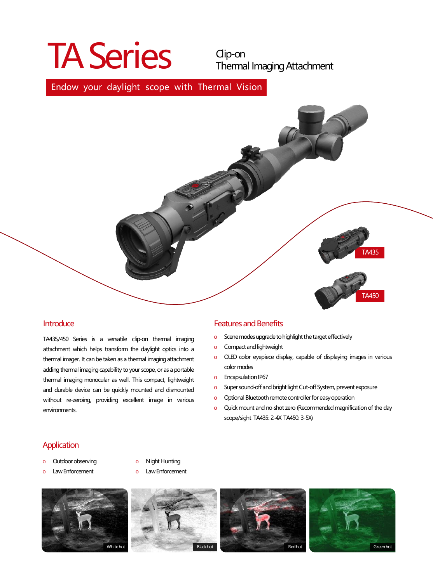# TA Series Clip-on

Thermal Imaging Attachment

### Endow your daylight scope with Thermal Vision



#### **Introduce**

TA435/450 Series is a versatile clip-on thermal imaging attachment which helps transform the daylight optics into a thermal imager. It can be taken as a thermal imaging attachment adding thermal imaging capability to your scope, or as a portable thermal imaging monocular as well. This compact, lightweight and durable device can be quickly mounted and dismounted without re-zeroing, providing excellent image in various environments.

#### **Features and Benefits**

- o Scene modes upgrade to highlight the target effectively
- o Compactandlightweight
- o OLED color eyepiece display, capable of displaying images in various colormodes
- o Encapsulation IP67
- o Super sound-off and bright light Cut-off System, prevent exposure
- o Optional Bluetooth remote controller for easy operation
- o Quick mount and no-shot zero (Recommended magnification of the day scope/sight TA435: 2-4X TA450: 3-5X)

#### **Application**

- o Outdoor observing
- o Law Enforcement
- o Night Hunting
- o Law Enforcement